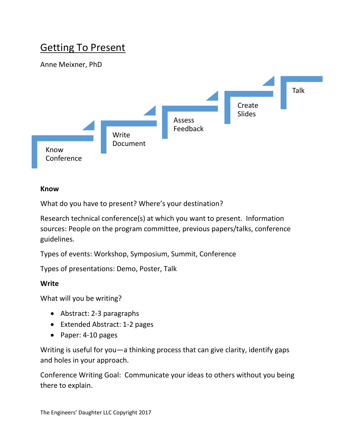# **Getting To Present**

## Anne Meixner, PhD



#### **Know**

What do you have to present? Where's your destination?

Research technical conference(s) at which you want to present. Information sources: People on the program committee, previous papers/talks, conference guidelines.

Types of events: Workshop, Symposium, Summit, Conference

Types of presentations: Demo, Poster, Talk

#### **Write**

What will you be writing?

- Abstract: 2-3 paragraphs
- Extended Abstract: 1-2 pages
- Paper: 4-10 pages

Writing is useful for you—a thinking process that can give clarity, identify gaps and holes in your approach.

Conference Writing Goal: Communicate your ideas to others without you being there to explain.